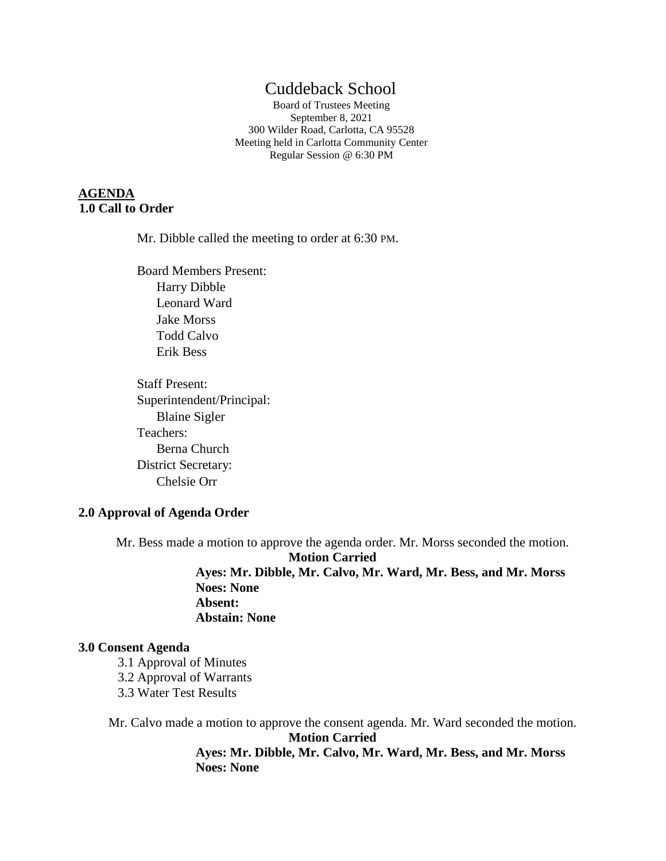# Cuddeback School

Board of Trustees Meeting September 8, 2021 300 Wilder Road, Carlotta, CA 95528 Meeting held in Carlotta Community Center Regular Session @ 6:30 PM

# **AGENDA 1.0 Call to Order**

Mr. Dibble called the meeting to order at 6:30 PM.

Board Members Present: Harry Dibble Leonard Ward Jake Morss Todd Calvo Erik Bess

Staff Present: Superintendent/Principal: Blaine Sigler Teachers: Berna Church District Secretary: Chelsie Orr

### **2.0 Approval of Agenda Order**

Mr. Bess made a motion to approve the agenda order. Mr. Morss seconded the motion. **Motion Carried Ayes: Mr. Dibble, Mr. Calvo, Mr. Ward, Mr. Bess, and Mr. Morss Noes: None Absent: Abstain: None**

#### **3.0 Consent Agenda**

- 3.1 Approval of Minutes 3.2 Approval of Warrants
- 
- 3.3 Water Test Results

Mr. Calvo made a motion to approve the consent agenda. Mr. Ward seconded the motion. **Motion Carried Ayes: Mr. Dibble, Mr. Calvo, Mr. Ward, Mr. Bess, and Mr. Morss Noes: None**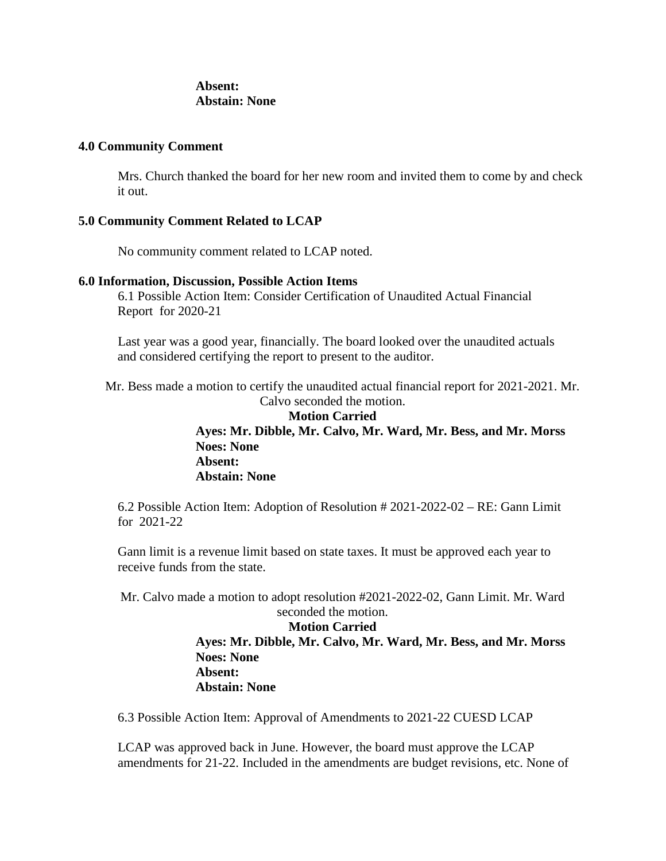### **Absent: Abstain: None**

#### **4.0 Community Comment**

Mrs. Church thanked the board for her new room and invited them to come by and check it out.

### **5.0 Community Comment Related to LCAP**

No community comment related to LCAP noted.

### **6.0 Information, Discussion, Possible Action Items**

6.1 Possible Action Item: Consider Certification of Unaudited Actual Financial Report for 2020-21

Last year was a good year, financially. The board looked over the unaudited actuals and considered certifying the report to present to the auditor.

Mr. Bess made a motion to certify the unaudited actual financial report for 2021-2021. Mr. Calvo seconded the motion.

> **Motion Carried Ayes: Mr. Dibble, Mr. Calvo, Mr. Ward, Mr. Bess, and Mr. Morss Noes: None Absent: Abstain: None**

6.2 Possible Action Item: Adoption of Resolution # 2021-2022-02 – RE: Gann Limit for 2021-22

Gann limit is a revenue limit based on state taxes. It must be approved each year to receive funds from the state.

Mr. Calvo made a motion to adopt resolution #2021-2022-02, Gann Limit. Mr. Ward

# seconded the motion. **Motion Carried Ayes: Mr. Dibble, Mr. Calvo, Mr. Ward, Mr. Bess, and Mr. Morss Noes: None Absent: Abstain: None**

6.3 Possible Action Item: Approval of Amendments to 2021-22 CUESD LCAP

LCAP was approved back in June. However, the board must approve the LCAP amendments for 21-22. Included in the amendments are budget revisions, etc. None of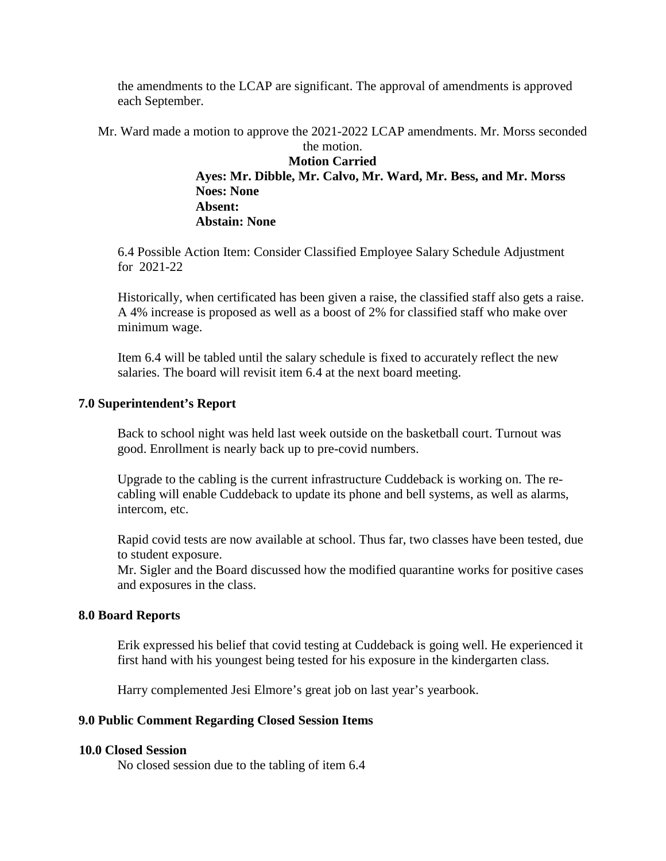the amendments to the LCAP are significant. The approval of amendments is approved each September.

Mr. Ward made a motion to approve the 2021-2022 LCAP amendments. Mr. Morss seconded the motion.

**Motion Carried Ayes: Mr. Dibble, Mr. Calvo, Mr. Ward, Mr. Bess, and Mr. Morss Noes: None Absent: Abstain: None**

6.4 Possible Action Item: Consider Classified Employee Salary Schedule Adjustment for 2021-22

Historically, when certificated has been given a raise, the classified staff also gets a raise. A 4% increase is proposed as well as a boost of 2% for classified staff who make over minimum wage.

Item 6.4 will be tabled until the salary schedule is fixed to accurately reflect the new salaries. The board will revisit item 6.4 at the next board meeting.

### **7.0 Superintendent's Report**

Back to school night was held last week outside on the basketball court. Turnout was good. Enrollment is nearly back up to pre-covid numbers.

Upgrade to the cabling is the current infrastructure Cuddeback is working on. The recabling will enable Cuddeback to update its phone and bell systems, as well as alarms, intercom, etc.

Rapid covid tests are now available at school. Thus far, two classes have been tested, due to student exposure.

Mr. Sigler and the Board discussed how the modified quarantine works for positive cases and exposures in the class.

### **8.0 Board Reports**

Erik expressed his belief that covid testing at Cuddeback is going well. He experienced it first hand with his youngest being tested for his exposure in the kindergarten class.

Harry complemented Jesi Elmore's great job on last year's yearbook.

#### **9.0 Public Comment Regarding Closed Session Items**

#### **10.0 Closed Session**

No closed session due to the tabling of item 6.4